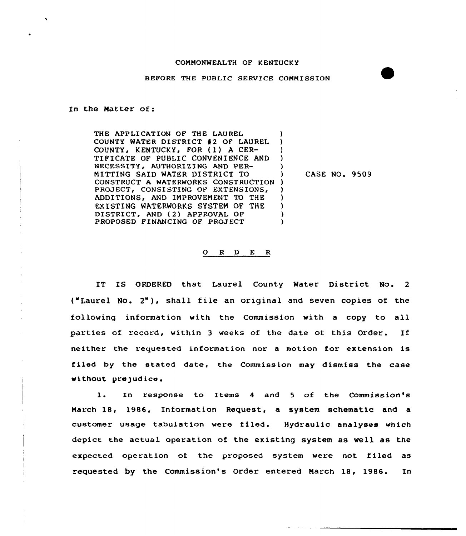## CONHONWEALTH OF KENTUCKY

## BEFORE THE PUBLIC SERVICE CONNISSION

## In the Matter of:

THE APPLICATION OF THE LAUREL COUNTY WATER DISTRICT 42 OF LAUREL COUNTY, KENTUCKY, FOR (1) A CER-TIFICATE OF PUBLIC CONVENIENCE AND NECESSITY, AUTHORIZING AND PER-NITTING SAID WATER DISTRICT TO CONSTRUCT A WATERWORKS CONSTRUCTION ) PROJECT, CONSISTING OF EXTENSIONS, ADDITIONS, AND INPROVENENT TO THE EKISTING WATERWORKS SYSTEN OF THE DISTRICT, AND (2) APPROVAL OF PROPOSED FINANCING OF PROJECT ) ) ) ) ) ) ) ) ) )

) CASE NO. 9509

## 0 <sup>R</sup> <sup>D</sup> E <sup>R</sup>

IT IS ORDERED that Laurel County Water District No. <sup>2</sup> ("Laurel No. 2"), shall file an original and seven copies of the following information with the Commission with a copy to all parties of record, within 3 weeks of the date of this Order. If neither the requested information nor a motion for extension is filed by the stated date, the Commission may dismiss the case without prejudice.

l. In response to Items <sup>4</sup> and <sup>5</sup> of the Commission's March 18, 1986, Information Request, a system schematic and a customer usage tabulation were filed. Hydraulic analyses which depict the actual operation of the existing system as well as the expected operation of the proposed system vere not filed as requested by the Commission's Order entered Narch 18, 1986. In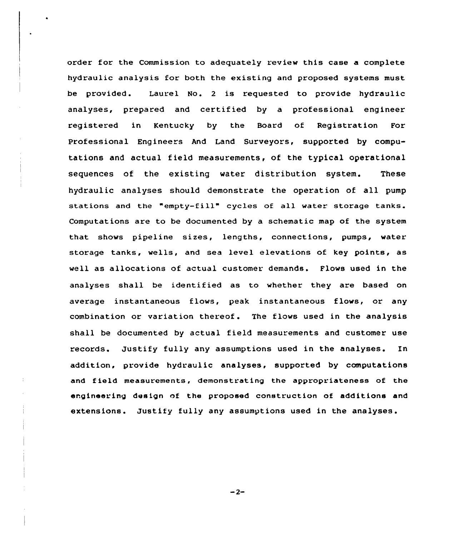order for the Commission to adequately review this case a complete hydraulic analysis for both the existing and proposed systems must be provided. Laurel No. <sup>2</sup> is requested to provide hydraulic analyses, prepared and certified by a professional engineer registered in Kentucky by the Board of Registration For Professional Engineers And Land Surveyors, supported by computations and actual field measurements, of the typical operational sequences of the existing water distribution system. These hydraulic analyses should demonstrate the operation of all pump stations and the "empty-fill" cycles of all water storage tanks. Computations are to be documented by a schematic map of the system that shows pipeline sizes, lengths, connections, pumps, water storage tanks, wells, and sea level elevations of key points, as well as allocations of actual customer demands. Flows used in the analyses shall be identified as to whether they are based on average instantaneous flows, peak instantaneous flows, or any combination or variation thereof. The flows used in the analysis shall be documented by actual field measurements and customer use records. Justify fully any assumptions used in the analyses. In addition, provide hydraulic analyses, supported by computations and field measurements, demonstrating the appropriateness of the engineering design nf the proposed construction of additions and extensions. Justify fully any assumptions used in the analyses.

 $-2-$